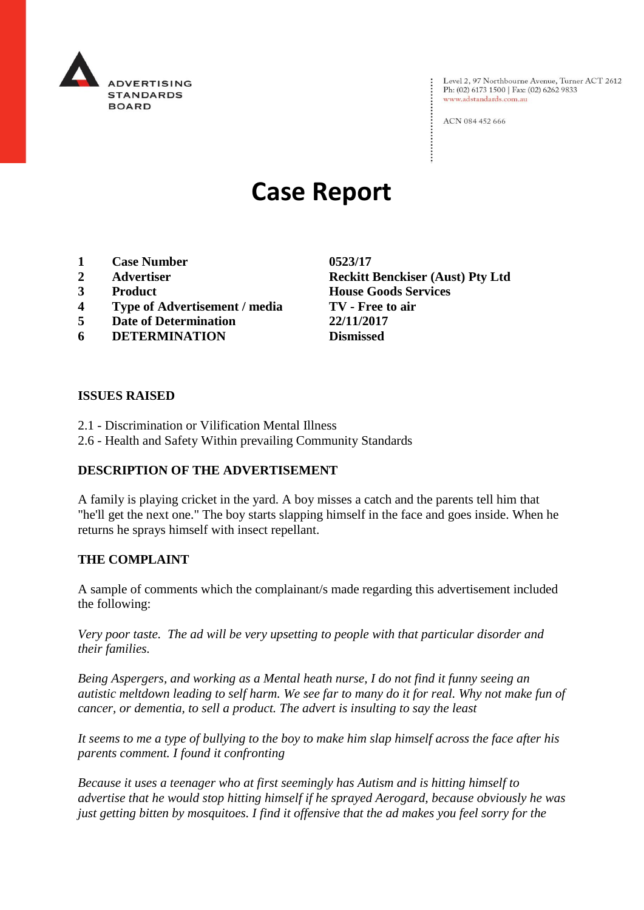

Level 2, 97 Northbourne Avenue, Turner ACT 2612 Ph: (02) 6173 1500 | Fax: (02) 6262 9833 www.adstandards.com.au

ACN 084 452 666

# **Case Report**

- **1 Case Number 0523/17**
- 
- 
- **4 Type of Advertisement / media TV - Free to air**
- **5 Date of Determination 22/11/2017**
- **6 DETERMINATION**

**2 Advertiser Reckitt Benckiser (Aust) Pty Ltd 3 Product House Goods Services**

#### **ISSUES RAISED**

- 2.1 Discrimination or Vilification Mental Illness
- 2.6 Health and Safety Within prevailing Community Standards

## **DESCRIPTION OF THE ADVERTISEMENT**

A family is playing cricket in the yard. A boy misses a catch and the parents tell him that "he'll get the next one." The boy starts slapping himself in the face and goes inside. When he returns he sprays himself with insect repellant.

#### **THE COMPLAINT**

A sample of comments which the complainant/s made regarding this advertisement included the following:

*Very poor taste. The ad will be very upsetting to people with that particular disorder and their families.*

*Being Aspergers, and working as a Mental heath nurse, I do not find it funny seeing an autistic meltdown leading to self harm. We see far to many do it for real. Why not make fun of cancer, or dementia, to sell a product. The advert is insulting to say the least*

*It seems to me a type of bullying to the boy to make him slap himself across the face after his parents comment. I found it confronting*

*Because it uses a teenager who at first seemingly has Autism and is hitting himself to advertise that he would stop hitting himself if he sprayed Aerogard, because obviously he was just getting bitten by mosquitoes. I find it offensive that the ad makes you feel sorry for the*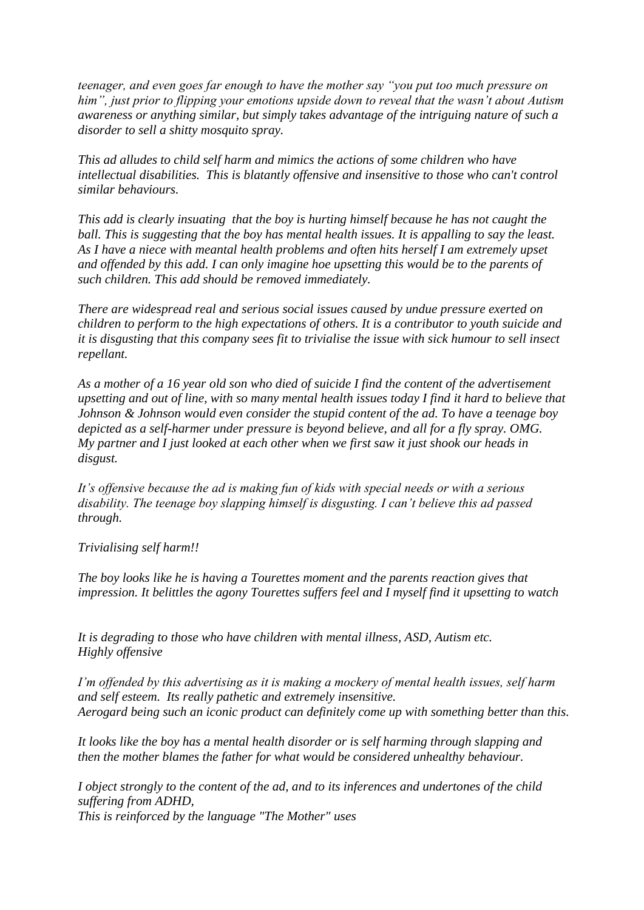*teenager, and even goes far enough to have the mother say "you put too much pressure on him", just prior to flipping your emotions upside down to reveal that the wasn't about Autism awareness or anything similar, but simply takes advantage of the intriguing nature of such a disorder to sell a shitty mosquito spray.*

*This ad alludes to child self harm and mimics the actions of some children who have intellectual disabilities. This is blatantly offensive and insensitive to those who can't control similar behaviours.*

*This add is clearly insuating that the boy is hurting himself because he has not caught the ball. This is suggesting that the boy has mental health issues. It is appalling to say the least. As I have a niece with meantal health problems and often hits herself I am extremely upset and offended by this add. I can only imagine hoe upsetting this would be to the parents of such children. This add should be removed immediately.*

*There are widespread real and serious social issues caused by undue pressure exerted on children to perform to the high expectations of others. It is a contributor to youth suicide and it is disgusting that this company sees fit to trivialise the issue with sick humour to sell insect repellant.*

*As a mother of a 16 year old son who died of suicide I find the content of the advertisement upsetting and out of line, with so many mental health issues today I find it hard to believe that Johnson & Johnson would even consider the stupid content of the ad. To have a teenage boy depicted as a self-harmer under pressure is beyond believe, and all for a fly spray. OMG. My partner and I just looked at each other when we first saw it just shook our heads in disgust.*

*It's offensive because the ad is making fun of kids with special needs or with a serious disability. The teenage boy slapping himself is disgusting. I can't believe this ad passed through.*

*Trivialising self harm!!*

*The boy looks like he is having a Tourettes moment and the parents reaction gives that impression. It belittles the agony Tourettes suffers feel and I myself find it upsetting to watch*

*It is degrading to those who have children with mental illness, ASD, Autism etc. Highly offensive*

*I'm offended by this advertising as it is making a mockery of mental health issues, self harm and self esteem. Its really pathetic and extremely insensitive. Aerogard being such an iconic product can definitely come up with something better than this.*

*It looks like the boy has a mental health disorder or is self harming through slapping and then the mother blames the father for what would be considered unhealthy behaviour.*

*I object strongly to the content of the ad, and to its inferences and undertones of the child suffering from ADHD, This is reinforced by the language "The Mother" uses*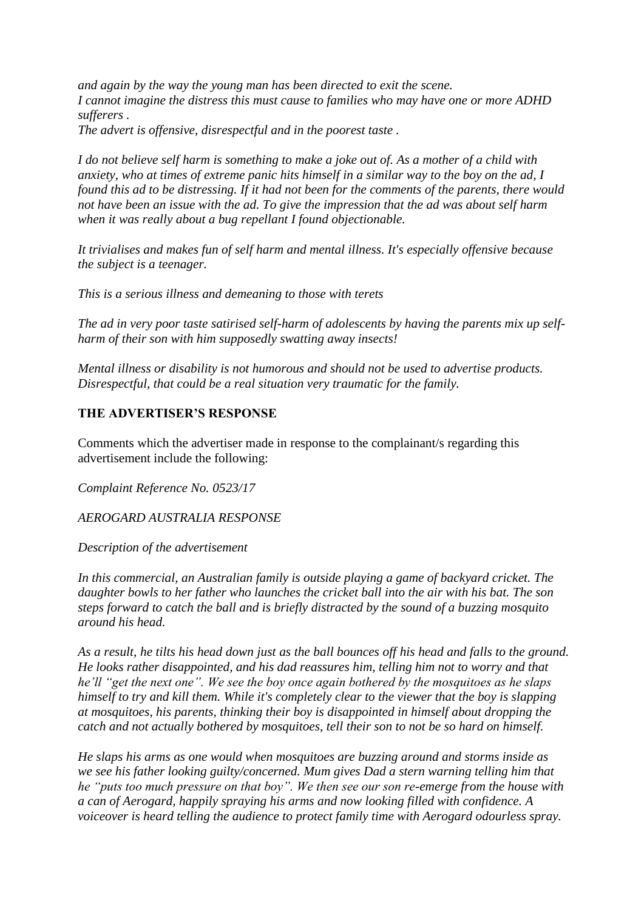*and again by the way the young man has been directed to exit the scene. I cannot imagine the distress this must cause to families who may have one or more ADHD sufferers .*

*The advert is offensive, disrespectful and in the poorest taste .*

*I do not believe self harm is something to make a joke out of. As a mother of a child with anxiety, who at times of extreme panic hits himself in a similar way to the boy on the ad, I found this ad to be distressing. If it had not been for the comments of the parents, there would not have been an issue with the ad. To give the impression that the ad was about self harm when it was really about a bug repellant I found objectionable.*

*It trivialises and makes fun of self harm and mental illness. It's especially offensive because the subject is a teenager.*

*This is a serious illness and demeaning to those with terets*

*The ad in very poor taste satirised self-harm of adolescents by having the parents mix up selfharm of their son with him supposedly swatting away insects!*

*Mental illness or disability is not humorous and should not be used to advertise products. Disrespectful, that could be a real situation very traumatic for the family.*

## **THE ADVERTISER'S RESPONSE**

Comments which the advertiser made in response to the complainant/s regarding this advertisement include the following:

*Complaint Reference No. 0523/17*

*AEROGARD AUSTRALIA RESPONSE*

*Description of the advertisement*

*In this commercial, an Australian family is outside playing a game of backyard cricket. The daughter bowls to her father who launches the cricket ball into the air with his bat. The son steps forward to catch the ball and is briefly distracted by the sound of a buzzing mosquito around his head.*

*As a result, he tilts his head down just as the ball bounces off his head and falls to the ground. He looks rather disappointed, and his dad reassures him, telling him not to worry and that he'll "get the next one". We see the boy once again bothered by the mosquitoes as he slaps himself to try and kill them. While it's completely clear to the viewer that the boy is slapping at mosquitoes, his parents, thinking their boy is disappointed in himself about dropping the catch and not actually bothered by mosquitoes, tell their son to not be so hard on himself.*

*He slaps his arms as one would when mosquitoes are buzzing around and storms inside as we see his father looking guilty/concerned. Mum gives Dad a stern warning telling him that he "puts too much pressure on that boy". We then see our son re-emerge from the house with a can of Aerogard, happily spraying his arms and now looking filled with confidence. A voiceover is heard telling the audience to protect family time with Aerogard odourless spray.*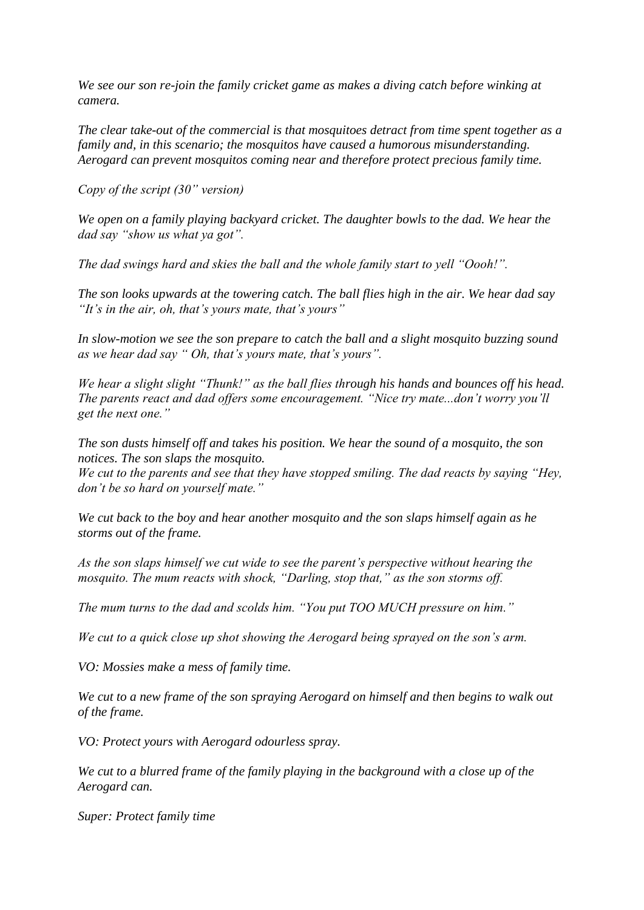*We see our son re-join the family cricket game as makes a diving catch before winking at camera.*

*The clear take-out of the commercial is that mosquitoes detract from time spent together as a family and, in this scenario; the mosquitos have caused a humorous misunderstanding. Aerogard can prevent mosquitos coming near and therefore protect precious family time.*

*Copy of the script (30" version)*

*We open on a family playing backyard cricket. The daughter bowls to the dad. We hear the dad say "show us what ya got".*

*The dad swings hard and skies the ball and the whole family start to yell "Oooh!".*

*The son looks upwards at the towering catch. The ball flies high in the air. We hear dad say "It's in the air, oh, that's yours mate, that's yours"*

*In slow-motion we see the son prepare to catch the ball and a slight mosquito buzzing sound as we hear dad say " Oh, that's yours mate, that's yours".*

*We hear a slight slight "Thunk!" as the ball flies through his hands and bounces off his head. The parents react and dad offers some encouragement. "Nice try mate...don't worry you'll get the next one."*

*The son dusts himself off and takes his position. We hear the sound of a mosquito, the son notices. The son slaps the mosquito.*

*We cut to the parents and see that they have stopped smiling. The dad reacts by saying "Hey, don't be so hard on yourself mate."*

*We cut back to the boy and hear another mosquito and the son slaps himself again as he storms out of the frame.*

*As the son slaps himself we cut wide to see the parent's perspective without hearing the mosquito. The mum reacts with shock, "Darling, stop that," as the son storms off.*

*The mum turns to the dad and scolds him. "You put TOO MUCH pressure on him."*

*We cut to a quick close up shot showing the Aerogard being sprayed on the son's arm.*

*VO: Mossies make a mess of family time.*

*We cut to a new frame of the son spraying Aerogard on himself and then begins to walk out of the frame.*

*VO: Protect yours with Aerogard odourless spray.*

*We cut to a blurred frame of the family playing in the background with a close up of the Aerogard can.*

*Super: Protect family time*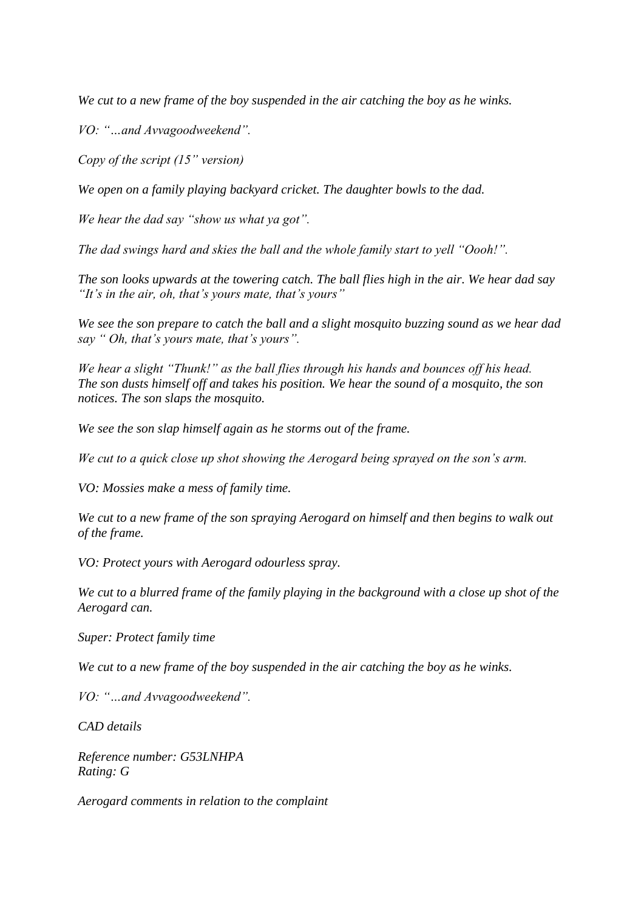*We cut to a new frame of the boy suspended in the air catching the boy as he winks.*

*VO: "…and Avvagoodweekend".*

*Copy of the script (15" version)*

*We open on a family playing backyard cricket. The daughter bowls to the dad.*

*We hear the dad say "show us what ya got".*

*The dad swings hard and skies the ball and the whole family start to yell "Oooh!".*

*The son looks upwards at the towering catch. The ball flies high in the air. We hear dad say "It's in the air, oh, that's yours mate, that's yours"*

*We see the son prepare to catch the ball and a slight mosquito buzzing sound as we hear dad say " Oh, that's yours mate, that's yours".*

*We hear a slight "Thunk!" as the ball flies through his hands and bounces off his head. The son dusts himself off and takes his position. We hear the sound of a mosquito, the son notices. The son slaps the mosquito.*

*We see the son slap himself again as he storms out of the frame.*

*We cut to a quick close up shot showing the Aerogard being sprayed on the son's arm.*

*VO: Mossies make a mess of family time.*

*We cut to a new frame of the son spraying Aerogard on himself and then begins to walk out of the frame.*

*VO: Protect yours with Aerogard odourless spray.*

*We cut to a blurred frame of the family playing in the background with a close up shot of the Aerogard can.*

*Super: Protect family time*

*We cut to a new frame of the boy suspended in the air catching the boy as he winks.*

*VO: "…and Avvagoodweekend".*

*CAD details*

*Reference number: G53LNHPA Rating: G*

*Aerogard comments in relation to the complaint*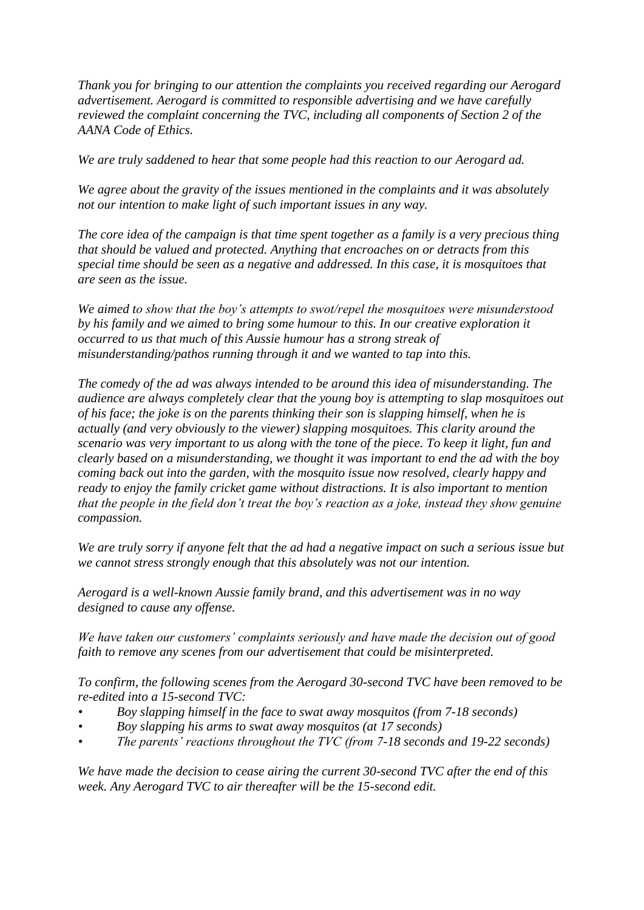*Thank you for bringing to our attention the complaints you received regarding our Aerogard advertisement. Aerogard is committed to responsible advertising and we have carefully reviewed the complaint concerning the TVC, including all components of Section 2 of the AANA Code of Ethics.*

*We are truly saddened to hear that some people had this reaction to our Aerogard ad.*

*We agree about the gravity of the issues mentioned in the complaints and it was absolutely not our intention to make light of such important issues in any way.*

*The core idea of the campaign is that time spent together as a family is a very precious thing that should be valued and protected. Anything that encroaches on or detracts from this special time should be seen as a negative and addressed. In this case, it is mosquitoes that are seen as the issue.*

*We aimed to show that the boy's attempts to swot/repel the mosquitoes were misunderstood by his family and we aimed to bring some humour to this. In our creative exploration it occurred to us that much of this Aussie humour has a strong streak of misunderstanding/pathos running through it and we wanted to tap into this.*

*The comedy of the ad was always intended to be around this idea of misunderstanding. The audience are always completely clear that the young boy is attempting to slap mosquitoes out of his face; the joke is on the parents thinking their son is slapping himself, when he is actually (and very obviously to the viewer) slapping mosquitoes. This clarity around the scenario was very important to us along with the tone of the piece. To keep it light, fun and clearly based on a misunderstanding, we thought it was important to end the ad with the boy coming back out into the garden, with the mosquito issue now resolved, clearly happy and ready to enjoy the family cricket game without distractions. It is also important to mention that the people in the field don't treat the boy's reaction as a joke, instead they show genuine compassion.*

*We are truly sorry if anyone felt that the ad had a negative impact on such a serious issue but we cannot stress strongly enough that this absolutely was not our intention.*

*Aerogard is a well-known Aussie family brand, and this advertisement was in no way designed to cause any offense.*

*We have taken our customers' complaints seriously and have made the decision out of good faith to remove any scenes from our advertisement that could be misinterpreted.*

*To confirm, the following scenes from the Aerogard 30-second TVC have been removed to be re-edited into a 15-second TVC:*

- *• Boy slapping himself in the face to swat away mosquitos (from 7-18 seconds)*
- *• Boy slapping his arms to swat away mosquitos (at 17 seconds)*
- *• The parents' reactions throughout the TVC (from 7-18 seconds and 19-22 seconds)*

*We have made the decision to cease airing the current 30-second TVC after the end of this week. Any Aerogard TVC to air thereafter will be the 15-second edit.*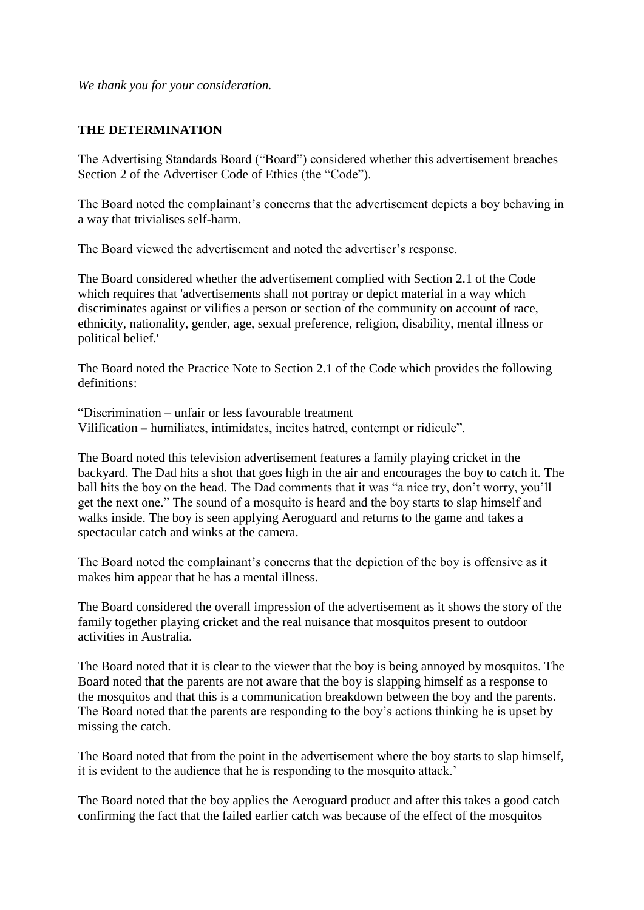*We thank you for your consideration.*

### **THE DETERMINATION**

The Advertising Standards Board ("Board") considered whether this advertisement breaches Section 2 of the Advertiser Code of Ethics (the "Code").

The Board noted the complainant's concerns that the advertisement depicts a boy behaving in a way that trivialises self-harm.

The Board viewed the advertisement and noted the advertiser's response.

The Board considered whether the advertisement complied with Section 2.1 of the Code which requires that 'advertisements shall not portray or depict material in a way which discriminates against or vilifies a person or section of the community on account of race, ethnicity, nationality, gender, age, sexual preference, religion, disability, mental illness or political belief.'

The Board noted the Practice Note to Section 2.1 of the Code which provides the following definitions:

"Discrimination – unfair or less favourable treatment Vilification – humiliates, intimidates, incites hatred, contempt or ridicule".

The Board noted this television advertisement features a family playing cricket in the backyard. The Dad hits a shot that goes high in the air and encourages the boy to catch it. The ball hits the boy on the head. The Dad comments that it was "a nice try, don't worry, you'll get the next one." The sound of a mosquito is heard and the boy starts to slap himself and walks inside. The boy is seen applying Aeroguard and returns to the game and takes a spectacular catch and winks at the camera.

The Board noted the complainant's concerns that the depiction of the boy is offensive as it makes him appear that he has a mental illness.

The Board considered the overall impression of the advertisement as it shows the story of the family together playing cricket and the real nuisance that mosquitos present to outdoor activities in Australia.

The Board noted that it is clear to the viewer that the boy is being annoyed by mosquitos. The Board noted that the parents are not aware that the boy is slapping himself as a response to the mosquitos and that this is a communication breakdown between the boy and the parents. The Board noted that the parents are responding to the boy's actions thinking he is upset by missing the catch.

The Board noted that from the point in the advertisement where the boy starts to slap himself, it is evident to the audience that he is responding to the mosquito attack.'

The Board noted that the boy applies the Aeroguard product and after this takes a good catch confirming the fact that the failed earlier catch was because of the effect of the mosquitos